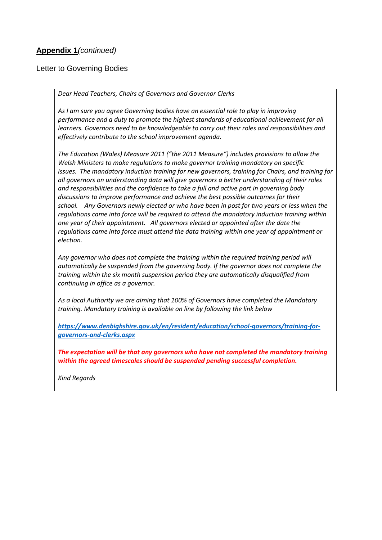#### **Appendix 1***(continued)*

Letter to Governing Bodies

*Dear Head Teachers, Chairs of Governors and Governor Clerks*

*As I am sure you agree Governing bodies have an essential role to play in improving performance and a duty to promote the highest standards of educational achievement for all learners. Governors need to be knowledgeable to carry out their roles and responsibilities and effectively contribute to the school improvement agenda.* 

*The Education (Wales) Measure 2011 ("the 2011 Measure") includes provisions to allow the Welsh Ministers to make regulations to make governor training mandatory on specific issues. The mandatory induction training for new governors, training for Chairs, and training for all governors on understanding data will give governors a better understanding of their roles and responsibilities and the confidence to take a full and active part in governing body discussions to improve performance and achieve the best possible outcomes for their school. Any Governors newly elected or who have been in post for two years or less when the regulations came into force will be required to attend the mandatory induction training within one year of their appointment. All governors elected or appointed after the date the regulations came into force must attend the data training within one year of appointment or election.*

*Any governor who does not complete the training within the required training period will automatically be suspended from the governing body. If the governor does not complete the training within the six month suspension period they are automatically disqualified from continuing in office as a governor.*

*As a local Authority we are aiming that 100% of Governors have completed the Mandatory training. Mandatory training is available on line by following the link below*

*[https://www.denbighshire.gov.uk/en/resident/education/school-governors/training-for](https://www.denbighshire.gov.uk/en/resident/education/school-governors/training-for-governors-and-clerks.aspx)[governors-and-clerks.aspx](https://www.denbighshire.gov.uk/en/resident/education/school-governors/training-for-governors-and-clerks.aspx)*

*The expectation will be that any governors who have not completed the mandatory training within the agreed timescales should be suspended pending successful completion.*

*Kind Regards*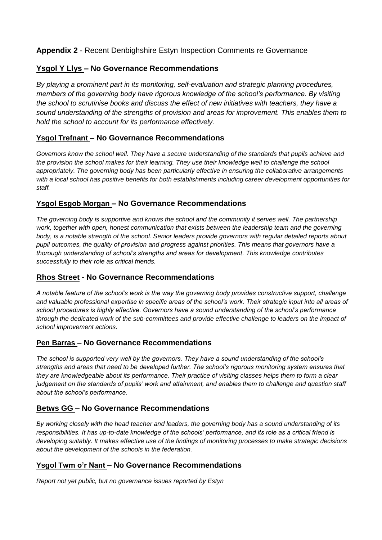### **Appendix 2** - Recent Denbighshire Estyn Inspection Comments re Governance

#### **Ysgol Y Llys – No Governance Recommendations**

*By playing a prominent part in its monitoring, self-evaluation and strategic planning procedures, members of the governing body have rigorous knowledge of the school's performance. By visiting the school to scrutinise books and discuss the effect of new initiatives with teachers, they have a sound understanding of the strengths of provision and areas for improvement. This enables them to hold the school to account for its performance effectively.*

#### **Ysgol Trefnant – No Governance Recommendations**

*Governors know the school well. They have a secure understanding of the standards that pupils achieve and the provision the school makes for their learning. They use their knowledge well to challenge the school appropriately. The governing body has been particularly effective in ensuring the collaborative arrangements with a local school has positive benefits for both establishments including career development opportunities for staff.*

#### **Ysgol Esgob Morgan – No Governance Recommendations**

*The governing body is supportive and knows the school and the community it serves well. The partnership*  work, together with open, honest communication that exists between the leadership team and the governing *body, is a notable strength of the school. Senior leaders provide governors with regular detailed reports about pupil outcomes, the quality of provision and progress against priorities. This means that governors have a thorough understanding of school's strengths and areas for development. This knowledge contributes successfully to their role as critical friends.*

#### **Rhos Street - No Governance Recommendations**

*A notable feature of the school's work is the way the governing body provides constructive support, challenge and valuable professional expertise in specific areas of the school's work. Their strategic input into all areas of school procedures is highly effective. Governors have a sound understanding of the school's performance through the dedicated work of the sub-committees and provide effective challenge to leaders on the impact of school improvement actions.*

#### **Pen Barras – No Governance Recommendations**

*The school is supported very well by the governors. They have a sound understanding of the school's strengths and areas that need to be developed further. The school's rigorous monitoring system ensures that they are knowledgeable about its performance. Their practice of visiting classes helps them to form a clear judgement on the standards of pupils' work and attainment, and enables them to challenge and question staff about the school's performance.*

#### **Betws GG – No Governance Recommendations**

*By working closely with the head teacher and leaders, the governing body has a sound understanding of its responsibilities. It has up-to-date knowledge of the schools' performance, and its role as a critical friend is developing suitably. It makes effective use of the findings of monitoring processes to make strategic decisions about the development of the schools in the federation.*

#### **Ysgol Twm o'r Nant – No Governance Recommendations**

*Report not yet public, but no governance issues reported by Estyn*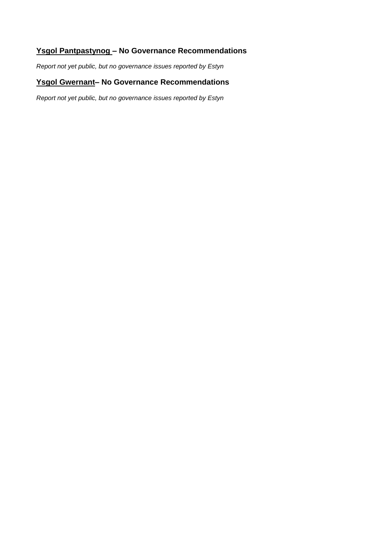## **Ysgol Pantpastynog – No Governance Recommendations**

*Report not yet public, but no governance issues reported by Estyn* 

# **Ysgol Gwernant– No Governance Recommendations**

*Report not yet public, but no governance issues reported by Estyn*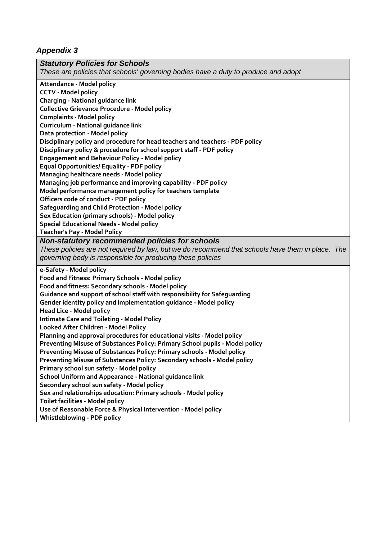# *Appendix 3*

| <b>Statutory Policies for Schools</b>                                                            |
|--------------------------------------------------------------------------------------------------|
| These are policies that schools' governing bodies have a duty to produce and adopt               |
| Attendance - Model policy                                                                        |
| <b>CCTV - Model policy</b>                                                                       |
| <b>Charging - National guidance link</b>                                                         |
| <b>Collective Grievance Procedure - Model policy</b>                                             |
| <b>Complaints - Model policy</b>                                                                 |
| Curriculum - National guidance link                                                              |
| Data protection - Model policy                                                                   |
| Disciplinary policy and procedure for head teachers and teachers - PDF policy                    |
| Disciplinary policy & procedure for school support staff - PDF policy                            |
| <b>Engagement and Behaviour Policy - Model policy</b>                                            |
| <b>Equal Opportunities/ Equality - PDF policy</b>                                                |
| Managing healthcare needs - Model policy                                                         |
| Managing job performance and improving capability - PDF policy                                   |
| Model performance management policy for teachers template                                        |
| Officers code of conduct - PDF policy                                                            |
| Safeguarding and Child Protection - Model policy                                                 |
| Sex Education (primary schools) - Model policy                                                   |
| <b>Special Educational Needs - Model policy</b>                                                  |
| <b>Teacher's Pay - Model Policy</b>                                                              |
| Non-statutory recommended policies for schools                                                   |
| These policies are not required by law, but we do recommend that schools have them in place. The |
| governing body is responsible for producing these policies                                       |
| e-Safety - Model policy                                                                          |
| Food and Fitness: Primary Schools - Model policy                                                 |
| Food and fitness: Secondary schools - Model policy                                               |
| Guidance and support of school staff with responsibility for Safeguarding                        |
| Gender identity policy and implementation guidance - Model policy                                |
| <b>Head Lice - Model policy</b>                                                                  |
| <b>Intimate Care and Toileting - Model Policy</b>                                                |
| Looked After Children - Model Policy                                                             |
| Planning and approval procedures for educational visits - Model policy                           |
| Preventing Misuse of Substances Policy: Primary School pupils - Model policy                     |
| Preventing Misuse of Substances Policy: Primary schools - Model policy                           |
| Preventing Misuse of Substances Policy: Secondary schools - Model policy                         |
| Primary school sun safety - Model policy                                                         |
| School Uniform and Appearance - National guidance link                                           |
| Secondary school sun safety - Model policy                                                       |
| Sex and relationships education: Primary schools - Model policy                                  |
| Toilet facilities - Model policy                                                                 |
| Use of Reasonable Force & Physical Intervention - Model policy                                   |
| <b>Whistleblowing - PDF policy</b>                                                               |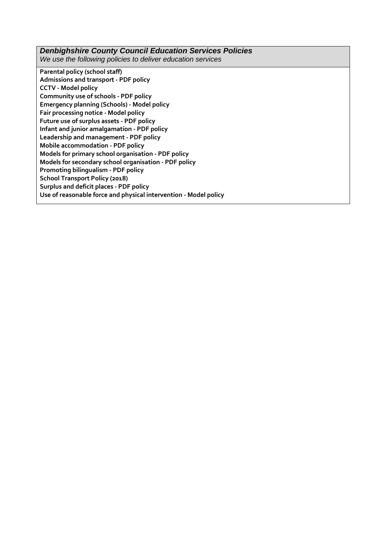#### *Denbighshire County Council Education Services Policies We use the following policies to deliver education services* **[Parental policy \(school staff\)](https://www.denbighshire.gov.uk/en/employee/documents/human-resources/leave-and-attendance/parental-policy-v2.pdf) [Admissions and transport -](https://www.denbighshire.gov.uk/en/your-council/strategies-plans-and-policies/education-and-schools/policies/education-services-policies/admissions-and-transport.pdf) PDF policy CCTV - [Model policy](https://www.denbighshire.gov.uk/en/your-council/strategies-plans-and-policies/education-and-schools/policies/education-services-policies/cctv.doc) [Community use of schools -](https://www.denbighshire.gov.uk/en/your-council/strategies-plans-and-policies/education-and-schools/policies/education-services-policies/community-use-of-schools.pdf) PDF policy [Emergency planning \(Schools\) -](https://www.denbighshire.gov.uk/en/your-council/strategies-plans-and-policies/education-and-schools/policies/education-services-policies/emergency-planning-schools.doc) Model policy Fair [processing notice -](https://www.denbighshire.gov.uk/en/your-council/strategies-plans-and-policies/education-and-schools/policies/education-services-policies/fair-processing-notice.docx) Model policy [Future use of surplus assets -](https://www.denbighshire.gov.uk/en/your-council/strategies-plans-and-policies/education-and-schools/policies/education-services-policies/future-use-of-surplus-assets.pdf) PDF policy [Infant and junior amalgamation -](https://www.denbighshire.gov.uk/en/your-council/strategies-plans-and-policies/education-and-schools/policies/education-services-policies/infant-and-junior-amalgamation.pdf) PDF policy [Leadership and management -](https://www.denbighshire.gov.uk/en/your-council/strategies-plans-and-policies/education-and-schools/policies/education-services-policies/leadership-and-management.pdf) PDF policy [Mobile accommodation -](https://www.denbighshire.gov.uk/en/your-council/strategies-plans-and-policies/education-and-schools/policies/education-services-policies/mobile-accomodation.pdf) PDF policy [Models for primary school organisation -](https://www.denbighshire.gov.uk/en/your-council/strategies-plans-and-policies/education-and-schools/policies/education-services-policies/models-for-primary-school-organisation.pdf) PDF policy [Models for secondary school organisation -](https://www.denbighshire.gov.uk/en/your-council/strategies-plans-and-policies/education-and-schools/policies/education-services-policies/models-for-secondary-school-organisation.pdf) PDF policy [Promoting bilingualism -](https://www.denbighshire.gov.uk/en/your-council/strategies-plans-and-policies/education-and-schools/policies/education-services-policies/promoting-bilingualism.pdf) PDF policy**

**[School Transport Policy \(2018\)](https://www.denbighshire.gov.uk/en/your-council/strategies-plans-and-policies/education-and-schools/policies/education-services-policies/school-transport-policy-2018.pdf)**

**[Surplus and deficit places -](https://www.denbighshire.gov.uk/en/your-council/strategies-plans-and-policies/education-and-schools/policies/education-services-policies/surplus-and-deficit-places.pdf) PDF policy**

**[Use of reasonable force and physical intervention -](https://www.denbighshire.gov.uk/en/your-council/strategies-plans-and-policies/education-and-schools/policies/education-services-policies/use-of-reasonable-force-and-physical-intervention-v2.doc) Model policy**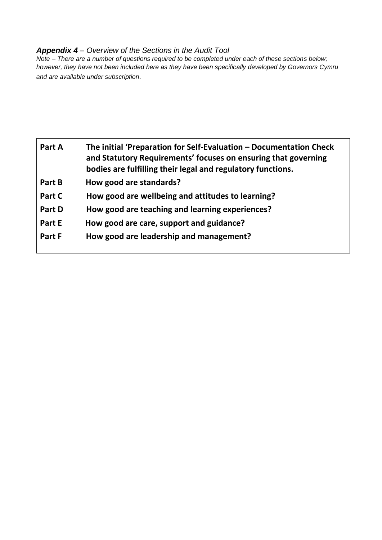## *Appendix 4 – Overview of the Sections in the Audit Tool*

*Note – There are a number of questions required to be completed under each of these sections below; however, they have not been included here as they have been specifically developed by Governors Cymru and are available under subscription.*

| Part A | The initial 'Preparation for Self-Evaluation – Documentation Check<br>and Statutory Requirements' focuses on ensuring that governing<br>bodies are fulfilling their legal and regulatory functions. |
|--------|-----------------------------------------------------------------------------------------------------------------------------------------------------------------------------------------------------|
| Part B | How good are standards?                                                                                                                                                                             |
| Part C | How good are wellbeing and attitudes to learning?                                                                                                                                                   |
| Part D | How good are teaching and learning experiences?                                                                                                                                                     |
| Part E | How good are care, support and guidance?                                                                                                                                                            |
| Part F | How good are leadership and management?                                                                                                                                                             |